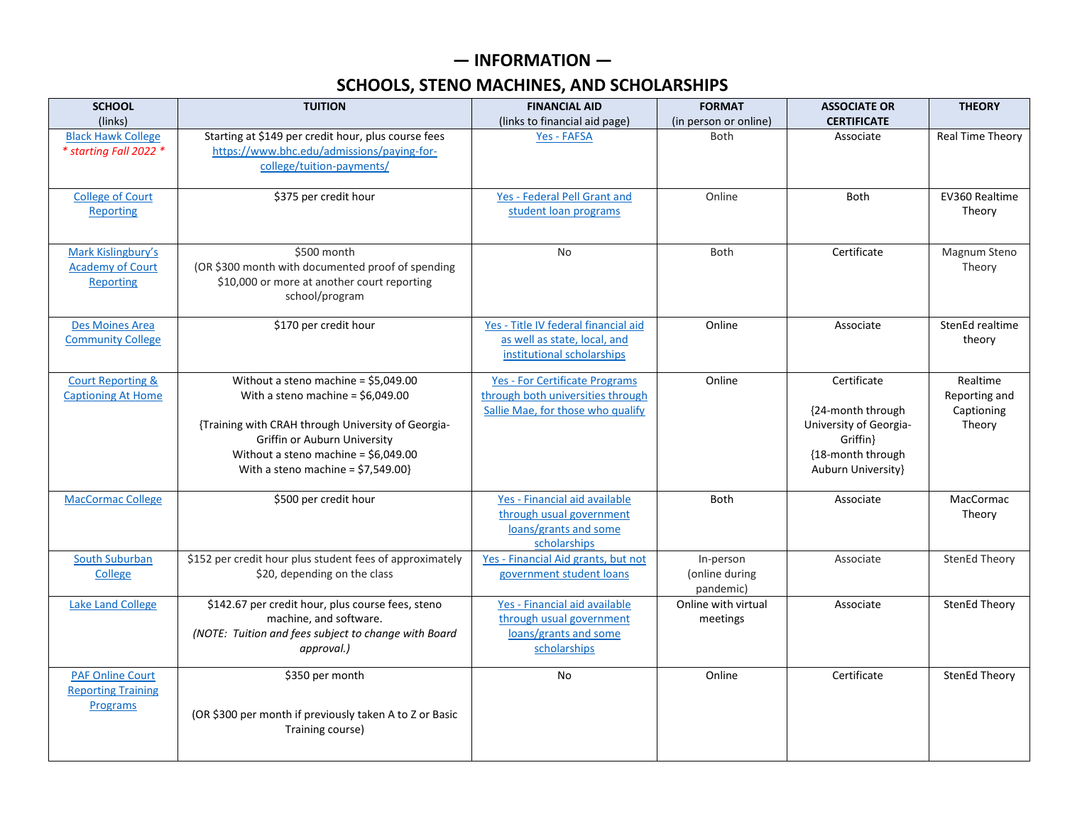## **— INFORMATION —**

## **SCHOOLS, STENO MACHINES, AND SCHOLARSHIPS**

| <b>SCHOOL</b><br>(links)                                          | <b>TUITION</b>                                                                                                                                                                                                                                   | <b>FINANCIAL AID</b><br>(links to financial aid page)                                                           | <b>FORMAT</b><br>(in person or online)   | <b>ASSOCIATE OR</b><br><b>CERTIFICATE</b>                                                                          | <b>THEORY</b>                                     |
|-------------------------------------------------------------------|--------------------------------------------------------------------------------------------------------------------------------------------------------------------------------------------------------------------------------------------------|-----------------------------------------------------------------------------------------------------------------|------------------------------------------|--------------------------------------------------------------------------------------------------------------------|---------------------------------------------------|
| <b>Black Hawk College</b><br>* starting Fall 2022 *               | Starting at \$149 per credit hour, plus course fees<br>https://www.bhc.edu/admissions/paying-for-<br>college/tuition-payments/                                                                                                                   | Yes - FAFSA                                                                                                     | Both                                     | Associate                                                                                                          | Real Time Theory                                  |
| <b>College of Court</b><br><b>Reporting</b>                       | \$375 per credit hour                                                                                                                                                                                                                            | Yes - Federal Pell Grant and<br>student loan programs                                                           | Online                                   | <b>Both</b>                                                                                                        | EV360 Realtime<br>Theory                          |
| Mark Kislingbury's<br><b>Academy of Court</b><br><b>Reporting</b> | \$500 month<br>(OR \$300 month with documented proof of spending<br>\$10,000 or more at another court reporting<br>school/program                                                                                                                | <b>No</b>                                                                                                       | <b>Both</b>                              | Certificate                                                                                                        | Magnum Steno<br>Theory                            |
| <b>Des Moines Area</b><br><b>Community College</b>                | \$170 per credit hour                                                                                                                                                                                                                            | Yes - Title IV federal financial aid<br>as well as state, local, and<br>institutional scholarships              | Online                                   | Associate                                                                                                          | StenEd realtime<br>theory                         |
| <b>Court Reporting &amp;</b><br><b>Captioning At Home</b>         | Without a steno machine = \$5,049.00<br>With a steno machine = $$6,049.00$<br>{Training with CRAH through University of Georgia-<br>Griffin or Auburn University<br>Without a steno machine = \$6,049.00<br>With a steno machine = $$7,549.00$ } | <b>Yes - For Certificate Programs</b><br>through both universities through<br>Sallie Mae, for those who qualify | Online                                   | Certificate<br>{24-month through<br>University of Georgia-<br>Griffin }<br>{18-month through<br>Auburn University} | Realtime<br>Reporting and<br>Captioning<br>Theory |
| <b>MacCormac College</b>                                          | \$500 per credit hour                                                                                                                                                                                                                            | Yes - Financial aid available<br>through usual government<br>loans/grants and some<br>scholarships              | <b>Both</b>                              | Associate                                                                                                          | MacCormac<br>Theory                               |
| <b>South Suburban</b><br>College                                  | \$152 per credit hour plus student fees of approximately<br>\$20, depending on the class                                                                                                                                                         | Yes - Financial Aid grants, but not<br>government student loans                                                 | In-person<br>(online during<br>pandemic) | Associate                                                                                                          | <b>StenEd Theory</b>                              |
| <b>Lake Land College</b>                                          | \$142.67 per credit hour, plus course fees, steno<br>machine, and software.<br>(NOTE: Tuition and fees subject to change with Board<br>approval.)                                                                                                | Yes - Financial aid available<br>through usual government<br>loans/grants and some<br>scholarships              | Online with virtual<br>meetings          | Associate                                                                                                          | <b>StenEd Theory</b>                              |
| <b>PAF Online Court</b><br><b>Reporting Training</b><br>Programs  | \$350 per month<br>(OR \$300 per month if previously taken A to Z or Basic<br>Training course)                                                                                                                                                   | <b>No</b>                                                                                                       | Online                                   | Certificate                                                                                                        | StenEd Theory                                     |